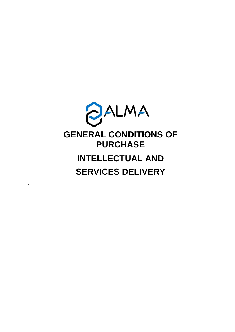

*.*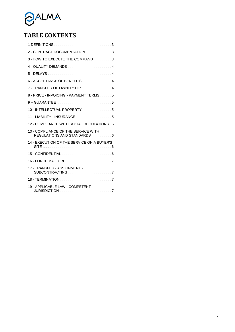

# **TABLE CONTENTS**

| 2 - CONTRACT DOCUMENTATION 3                                       |  |
|--------------------------------------------------------------------|--|
| 3 - HOW TO EXECUTE THE COMMAND3                                    |  |
|                                                                    |  |
|                                                                    |  |
| 6 - ACCEPTANCE OF BENEFITS  4                                      |  |
| 7 - TRANSFER OF OWNERSHIP  4                                       |  |
| 8 - PRICE - INVOICING - PAYMENT TERMS5                             |  |
|                                                                    |  |
|                                                                    |  |
|                                                                    |  |
| 12 - COMPLIANCE WITH SOCIAL REGULATIONS6                           |  |
| 13 - COMPLIANCE OF THE SERVICE WITH<br>REGULATIONS AND STANDARDS 6 |  |
| 14 - EXECUTION OF THE SERVICE ON A BUYER'S                         |  |
|                                                                    |  |
|                                                                    |  |
| 17 - TRANSFER - ASSIGNMENT -                                       |  |
|                                                                    |  |
| 19 - APPLICABLE LAW - COMPETENT                                    |  |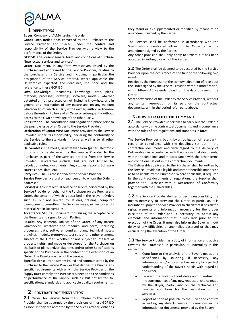

# <span id="page-2-0"></span>**1 DEFINITIONS**

**Buyer**: Company of ALMA issuing the order

**Goods Entrusted**: Goods entrusted by the Purchaser to the Service Provider and placed under the control and responsibility of the Service Provider with a view to the performance of the Order.

**GCP ISD**: The present general terms and conditions of purchase "Intellectual services and services".

**Order**: Document, in any form whatsoever, issued by the Purchaser and addressed to the Service Provider, relating to the purchase of a Service and including in particular the designation of the Service ordered, where applicable the Deliverables expected, the deadlines, the price and the reference to these GCP ISD.

**Own Knowledge**: Documents, knowledge, data, plans, methods, processes, drawings, software, models, whether patented or not, protected or not, including know-how, and in general any information of any nature and on any medium whatsoever, of which a Party is the owner, author or licensee before the entry into force of an Order or subsequently without access to the Own Knowledge of the other Party.

**Consultation**: The consultation and negotiation phase prior to the possible issue of an Order to the Service Provider.

**Declaration of Conformity**: Document provided by the Service Provider, under its responsibility, declaring the conformity of the Service to the standards in force as well as to all other applicable rules.

**Deliverables**: The media, in whatever form (paper, electronic or other) to be delivered by the Service Provider to the Purchaser as part of the Services ordered from the Service Provider. Deliverables include, but are not limited to, calculation notes, documents, files, studies, reports, Software source codes, data, etc...

**Party (ies)**: The Purchaser and/or the Service Provider.

**Service Provider**: Natural or legal person to whom the Order is addressed.

**Service(s)**: Any intellectual service or service performed by the Service Provider on behalf of the Purchaser on the Purchaser's Order, the content of which is described in the relevant Order, such as, but not limited to, studies, training, computer development, consulting. The Services may give rise to Results materialized in Deliverables.

**Acceptance Minute**: Document formalizing the acceptance of the Benefits and signed by both Parties.

**Results**: Any element, subject of the Order, of any nature whatsoever, whatever the medium and form, including processes, data, software, bundles, plans, technical notes, drawings, models, prototypes, test sets or any other element, subject of the Order, whether or not subject to intellectual property rights, and made or developed for the Purchaser on the basis of plans and/or diagrams and/or other Specifications specific to the Purchaser in the context of the execution of an Order. The Results are part of the Service.

**Specifications**: Any document issued and communicated by the Purchaser to the Service Provider that defines the Purchaser's specific requirements with which the Service Provider or the Supply must comply, the Purchaser's needs and the conditions of performance of the Supply, such as, but not limited to, specifications, standards and applicable quality requirements.

# <span id="page-2-1"></span>**2 - CONTRACT DOCUMENTATION**

**2.1** Orders for Services from the Purchaser to the Service Provider shall be governed by the provisions of these GCP ISD as soon as they are accepted by the Service Provider, either as they stand or as supplemented or modified by means of an amendment signed by the Parties.

The Services shall be performed in accordance with the Specifications mentioned either in the Order or in the amendment signed by the Parties.

Any other provision shall only apply to Orders if it has been accepted in writing by each of the Parties.

**2.2** The Order shall be deemed to be accepted by the Service Provider upon the occurrence of the first of the following two events:

Receipt by the Purchaser of the acknowledgement of receipt of the Order signed by the Service Provider, without modification, within fifteen (15) calendar days from the date of issue of the Order;

Start of execution of the Order by the Service Provider, without any written reservation on its part on the contractual documents, within the period referred to above.

# <span id="page-2-2"></span>**3 - HOW TO EXECUTE THE COMMAND**

**3.1** The Service Provider undertakes to carry out the Order in accordance with the contractual documents, and in compliance with the rules of art, regulations and standards in force.

The Service Provider is bound by an obligation of result with regard to compliance with the deadlines set out in the contractual documents and with regard to the delivery of Deliverables in accordance with the contractual documents, within the deadlines and in accordance with the other terms and conditions set out in the contractual documents.

The Deliverables delivered to the Purchaser shall be written by the Service Provider in a legible and comprehensible manner so as to be usable by the Purchaser. Where applicable, if required by the contract documents or regulations, the Supplier shall provide the Purchaser with a Declaration of Conformity together with the Deliverables.

**3.2** The Service Provider defines under its responsibility the means necessary to carry out the Order. In particular, it is incumbent upon the Service Provider to check that it has all the rights, elements and information necessary for the proper execution of the Order and, if necessary, to obtain any elements and information that it may lack prior to the execution of the Order. It must also inform the Buyer without delay of any difficulties or anomalies observed or that may occur during the execution of the Order.

**3.3** The Service Provider has a duty of information and advice towards the Purchaser. In particular, it undertakes in this respect to:

- Contribute to the analysis of the Buyer's needs and specificities by soliciting, if necessary, any information and/or document necessary for a perfect understanding of the Buyer's needs with regard to the Order;
- To warn the Buyer without delay and in writing, on the consequences of any new request or choice made by the Buyer, particularly on the technical and financial conditions for the realization of the Services;
- Report as soon as possible to the Buyer and confirm in writing any defects, errors or omissions in the information or documents provided by the Buyer;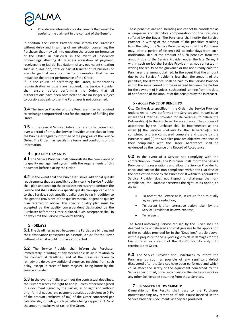

 Provide any information or documents that would be useful to the claimant in the context of the Benefit.

In addition, the Service Provider shall inform the Purchaser without delay and in writing of any situation concerning the Purchaser that may call into question the proper performance of the Order, in particular in the event of insolvency proceedings affecting its business (cessation of payment, receivership or judicial liquidation), of any equivalent situation such as dissolution, total or partial transfer of its business or any change that may occur in its organization that has an impact on the proper performance of the Order.

If, in the course of performing the Order, authorizations (administrative or other) are required, the Service Provider shall ensure, before performing the Order, that all authorizations have been obtained and are no longer subject to possible appeal, so that the Purchaser is not concerned.

**3.4** The Service Provider and the Purchaser may be required to exchange computerized data for the purpose of fulfilling the Order.

**3.5** In the case of Service Orders that are to be carried out over a period of time, the Service Provider undertakes to keep the Purchaser regularly informed of the progress of the Service Order. The Order may specify the terms and conditions of this information.

# <span id="page-3-0"></span>**4 - QUALITY DEMANDS**

**4.1** The Service Provider shall demonstrate the compliance of its quality management system with the requirements of this document before placing the Order.

**4.2** In the event that the Purchaser issues additional quality requirements that are specific to a Service, the Service Provider shall plan and develop the processes necessary to perform the Service and shall establish a specific quality plan applicable only to that Service, such specific quality plan being in addition to the generic provisions of the quality manual or generic quality plan referred to above. This specific quality plan must be accepted by the quality correspondent designated by the Purchaser before the Order is placed. Such acceptance shall in no way limit the Service Provider's liability.

#### <span id="page-3-1"></span>**5 - DELAYS**

**5.1** The deadlines agreed between the Parties are binding and their observance constitutes an essential clause for the Buyer without which it would not have contracted.

**5.2** The Service Provider shall inform the Purchaser immediately in writing of any foreseeable delay in relation to the contractual deadlines, and of the measures taken to remedy the delay, any additional expenses resulting from such delay, except in cases of force majeure, being borne by the Service Provider.

**5.3** In the event of failure to meet the contractual deadlines, the Buyer reserves the right to apply, unless otherwise agreed in a document signed by the Parties, as of right and without prior formal notice, late payment penalties equivalent to 0.5% of the amount (exclusive of tax) of the Order concerned per calendar day of delay, such penalties being capped at 15% of the amount (exclusive of tax) of the Order.

These penalties are not liberating and cannot be considered as a lump-sum and definitive compensation for the prejudice suffered by the Buyer. The Purchaser shall notify the Service Provider in writing of the amount of the penalties resulting from the delay. The Service Provider agrees that the Purchaser may, after a period of fifteen (15) calendar days from such notification, deduct the amount of such penalties from the amount due to the Service Provider under the late Order, if within such period the Service Provider has not contested in writing the reality of the grievance or has not already paid the Purchaser the amount claimed. In the event that the amount due to the Service Provider is less than the amount of the penalties, the difference shall be paid by the Service Provider within the same period of time as agreed between the Parties for the payment of invoices, such period running from the date of notification of the amount of the penalties by the Purchaser.

# <span id="page-3-2"></span>**6 - ACCEPTANCE OF BENEFITS**

**6.1** On the date specified in the Order, the Service Provider undertakes to have performed the Services and, in particular where the Order has provided for Deliverables, to deliver the Deliverable(s) to the Purchaser for acceptance. The process of acceptance by the Purchaser shall be implemented as and when (i) the Services (delivery for the Deliverable(s)) are completed and are considered complete and usable by the Purchaser, and (ii) the Supplier provides objective evidence of their compliance with the Order. Acceptance shall be evidenced by the issuance of a Record of Acceptance.

**6.2** In the event of a Service not complying with the contractual documents, the Purchaser shall inform the Service Provider of its reservations and allow the Service Provider to check and correct this non-compliance within ten (10) days of the notification made by the Purchaser. If within this period the Service Provider does not inspect or challenge the noncompliance, the Purchaser reserves the right, at its option, to do so:

- To accept the Service as is, in return for a mutually agreed price reduction;
- To accept it after corrective action taken by the Service Provider at its own expense;
- To refuse it.

The Non-Conforming Service refused by the Buyer shall be deemed to be undelivered and shall give rise to the application of the penalties provided for in the "Deadlines" article above, without prejudice to the Buyer's right to claim damages for the loss suffered as a result of the Non-Conformity and/or to terminate the Order.

**6.3** The Service Provider also undertakes to inform the Purchaser as soon as possible of any significant defect discovered after the Services have been performed and which could affect the safety of the equipment concerned by the Services performed, or call into question the studies or work or any other Deliverables resulting from these Services.

#### **7 - TRANSFER OF OWNERSHIP**

<span id="page-3-3"></span>Ownership of the Results shall pass to the Purchaser notwithstanding any retention of title clause inserted in the Service Provider's documents as they are produced.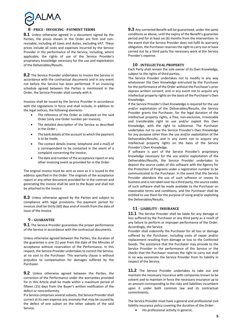

#### <span id="page-4-0"></span>**8 - PRICE - INVOICING - PAYMENT TERMS**

**8.1** Unless otherwise agreed in a document signed by the Parties, the prices shown in the Order are firm and nonrevisable, including all taxes and duties, excluding VAT. These prices include all costs and expenses incurred by the Service Provider in the performance of the Service, including, where applicable, the rights of use of the Service Provider's proprietary knowledge necessary for the use and exploitation of the Deliverables/Results.

**8.2** The Service Provider undertakes to invoice the Service in accordance with the contractual documents and in any event not before the Service has been performed. If an invoicing schedule agreed between the Parties is mentioned in the Order, the Service Provider shall comply with it.

Invoices shall be issued by the Service Provider in accordance with the regulations in force and shall include, in addition to the legal notices, the following elements:

- The reference of the Order as indicated on the said Order (only one Order number per invoice);
- The detailed description of the Service as described in the Order ;
- The bank details of the account to which the payment is to be made;
- The contact details (name, telephone and e-mail) of a correspondent to be contacted in the event of a complaint concerning the invoice;
- The date and number of the acceptance report or any other invoicing event as provided for in the Order.

The original invoice must be sent as soon as it is issued to the address specified in the Order. The originals of the acceptance report or any other document provided for in the contract and generating the invoice shall be sent to the Buyer and shall not be attached to the invoice.

**8.3** Unless otherwise agreed by the Parties and subject to compliance with legal provisions, the payment period for invoices shall be thirty (60) days end of month from the date of issue of the invoice.

#### <span id="page-4-1"></span>**9 – GUARANTEE**

**9.1** The Service Provider guarantees the proper performance of the Service in accordance with the contractual documents.

Unless otherwise agreed between the Parties, the duration of the guarantee is one (1) year from the date of the Minutes of acceptance without reservation of the Performance. In this respect, the Service Provider undertakes to correct the Service, at no cost to the Purchaser. This warranty clause is without prejudice to compensation for damages suffered by the Purchaser.

**9.2** Unless otherwise agreed between the Parties, the correction of the Performance under the warranties provided for in this Article shall be made within a maximum period of fifteen (15) days from the Buyer's written notification of the defect or nonconformity.

If a Service comprises several subsets, the Service Provider shall correct at its own expense any anomaly that may be caused by the defect of one subset on the other subsets of the said Service.

**9.3** Any corrected Benefit will be guaranteed, under the same conditions as above, until the expiry of the Benefit's guarantee period and for at least six (6) months from the intervention. In the event that the Service Provider does not fulfil its warranty obligation, the Purchaser reserves the right to carry out or have carried out by a third party the necessary work at the Service Provider's expense.

#### **10 - INTELLECTUAL PROPERTY**

<span id="page-4-2"></span>Each Party shall remain the sole owner of its Own Knowledge, subject to the rights of third parties.

The Service Provider undertakes not to modify in any way whatsoever the Own Knowledge entrusted by the Purchaser for the performance of the Order without the Purchaser's prior express written consent, and in any event not to acquire any intellectual property rights on the basis of the Purchaser's Own Knowledge.

If the Service Provider's Own Knowledge is required for the use and/or exploitation of the Deliverables/Results, the Service Provider grants the Purchaser, for the legal duration of the intellectual property rights, a free, non-exclusive, irrevocable and transferable right to use and/or exploit this Own Knowledge, with the right to sublicense. The Purchaser undertakes not to use the Service Provider's Own Knowledge for any purpose other than the use and/or exploitation of the Deliverables/Results, and in any event not to acquire any intellectual property rights on the basis of the Service Provider's Own Knowledge.

If software is part of the Service Provider's proprietary knowledge necessary for the use and/or exploitation of the Deliverables/Results, the Service Provider undertakes to deposit the source codes of this software with the Agency for the Protection of Programs under a registration number to be communicated to the Purchaser. In the event that the Service Provider abandons the use of such software or ceases its business and is not taken over by a third party, the source codes of such software shall be made available to the Purchaser on reasonable terms and conditions, and the Purchaser shall be entitled to use them for the purpose of using and/or exploiting the Deliverables/Results.

#### **11 - LIABILITY - INSURANCE**

<span id="page-4-3"></span>**11.1** The Service Provider shall be liable for any damage or loss suffered by the Purchaser or any third party as a result of any failure to perform or improper performance of the Order. Accordingly, the Service

Provider shall indemnify the Purchaser for all loss or damage suffered by the Purchaser, including costs of repair and/or replacement resulting from damage or loss to the Confected Goods. The assistance that the Purchaser may provide to the Service Provider in the performance of the Service or the checks that the Purchaser reserves the right to carry out shall in no way exonerate the Service Provider from its liability in respect of the Service.

**11.2** The Service Provider undertakes to take out and maintain the necessary insurance with companies known to be solvent and to maintain in force the necessary insurance up to an amount corresponding to the risks and liabilities incumbent upon it under both common law and its contractual commitments.

The Service Provider must have a general and professional civil liability insurance policy covering the duration of the Order:

His professional activity in general,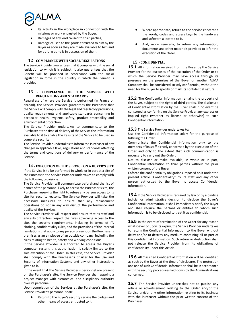

- Its activity in the workplace in connection with the missions or work entrusted by the Buyer,
- Damages of any kind caused to third parties,
- Damage caused to the goods entrusted to him by the Buyer as soon as they are made available to him and for as long as he is in possession of them.

# **12 - COMPLIANCE WITH SOCIAL REGULATIONS**

<span id="page-5-0"></span>The Service Provider guarantees that it complies with the social legislation to which it is subject. It also guarantees that the Benefit will be provided in accordance with the social legislation in force in the country in which the Benefit is provided.

# <span id="page-5-1"></span>**13 - COMPLIANCE OF THE SERVICE WITH REGULATIONS AND STANDARDS**

Regardless of where the Service is performed (in France or abroad), the Service Provider guarantees the Purchaser that the Service will comply with the legal and regulatory provisions, quality requirements and applicable standards concerning in particular health, hygiene, safety, product traceability and environmental protection.

The Service Provider undertakes to communicate to the Purchaser at the time of delivery of the Service the information available to it to enable the Results of the Service to be used in complete security.

The Service Provider undertakes to inform the Purchaser of any changes in applicable laws, regulations and standards affecting the terms and conditions of delivery or performance of the Service.

## **14 - EXECUTION OF THE SERVICE ON A BUYER'S SITE**

<span id="page-5-2"></span>If the Service is to be performed in whole or in part at a site of the Purchaser, the Service Provider undertakes to comply with the following provisions:

The Service Provider will communicate beforehand the list of names of the personnel likely to access the Purchaser's site, the Purchaser reserving the right to refuse any person access to its site for security reasons. The Service Provider will take the necessary measures to ensure that any replacement operations do not in any way disrupt the performance and quality of the Services.

The Service Provider will respect and ensure that its staff and any subcontractors respect the rules governing access to the site, the security requirements, including in terms of IT, clothing, confidentiality rules, and the provisions of the internal regulations that apply to any person present on the Purchaser's premises as an employee of an outside company, including the rules relating to health, safety and working conditions.

If the Service Provider is authorized to access the Buyer's computer system, this authorization is strictly limited to the sole execution of the Order. In this case, the Service Provider shall comply with the Purchaser's Charter for the Use and Security of Information Systems and any other instructions given to it.

In the event that the Service Provider's personnel are present on the Purchaser's site, the Service Provider shall appoint a project manager with hierarchical and disciplinary authority over its personnel.

Upon completion of the Services at the Purchaser's site, the Service Provider's personnel shall:

 Return to the Buyer's security service the badges and other means of access entrusted to it,

- Where appropriate, return to the service concerned the words, codes and access keys to the hardware and software allocated to it,
- And, more generally, to return any information, documents and other materials provided to it for the execution of the Order.

# <span id="page-5-3"></span>**15 - CONFIDENTIAL**

**15.1** All information received from the Buyer by the Service Provider for the purposes of the execution of the Order or to which the Service Provider may have access through its presence on the premises of the Buyer or another ALMA Company shall be considered strictly confidential, without the need for the Buyer to specify or mark its confidential nature.

**15.2** The Confidential Information remains the property of the Buyer, subject to the rights of third parties. The disclosure of Confidential Information by the Buyer shall in no event be construed as conferring on the Service Provider any express or implied right (whether by license or otherwise) to such Confidential Information.

# **15.3** The Service Provider undertakes to:

Use the Confidential Information solely for the purpose of fulfilling the Order;

Communicate the Confidential Information only to the members of its staff directly concerned by the execution of the Order and only to the extent that such communication is necessary to carry out the Order;

Not to disclose or make available, in whole or in part, Confidential Information to third parties without the prior written consent of the Buyer;

Enforce the confidentiality obligations imposed on it under the present article "Confidentiality" by its staff and any other person authorized by the Buyer to access Confidential Information.

**15.4** If the Service Provider is required by law or by a binding judicial or administrative decision to disclose the Buyer's Confidential Information, it shall immediately notify the Buyer and shall require the persons or entities to whom such Information is to be disclosed to treat it as confidential.

**15.5** In the event of termination of the Order for any reason whatsoever or upon its expiry, the Service Provider undertakes to return the Confidential Information to the Buyer without delay and/or to destroy any medium containing all or part of this Confidential Information. Such return or destruction shall not release the Service Provider from its obligations of confidentiality under this Article.

**15.6** All Classified Confidential Information will be identified as such by the Buyer at the time of disclosure. The protection and use of such Confidential Information shall be in accordance with the security procedures laid down by the Administrations concerned.

**15.7** The Service Provider undertakes not to publish any article or advertisement relating to the Order and/or the Service and/or any other information relating to its business with the Purchaser without the prior written consent of the Purchaser.